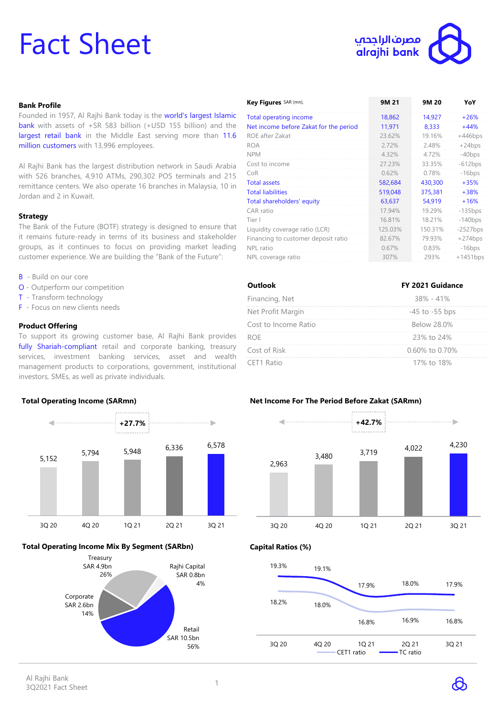# Fact Sheet



## **Bank Profile**

Founded in 1957, Al Rajhi Bank today is the world's largest Islamic bank with assets of +SR 583 billion (+USD 155 billion) and the largest retail bank in the Middle East serving more than 11.6 million customers with 13,996 employees.

Al Rajhi Bank has the largest distribution network in Saudi Arabia with 526 branches, 4,910 ATMs, 290,302 POS terminals and 215 remittance centers. We also operate 16 branches in Malaysia, 10 in Jordan and 2 in Kuwait.

## **Strategy**

The Bank of the Future (BOTF) strategy is designed to ensure that it remains future-ready in terms of its business and stakeholder groups, as it continues to focus on providing market leading customer experience. We are building the "Bank of the Future":

- B Build on our core
- O Outperform our competition
- T Transform technology
- F Focus on new clients needs

## **Product Offering**

To support its growing customer base, Al Rajhi Bank provides fully Shariah-compliant retail and corporate banking, treasury services, investment banking services, asset and wealth management products to corporations, government, institutional investors, SMEs, as well as private individuals.



# **Total Operating Income Mix By Segment (SARbn)**



| Key Figures SAR (mn),                  | 9M 21   | 9M 20   | YoY        |
|----------------------------------------|---------|---------|------------|
| Total operating income                 | 18,862  | 14,927  | $+26%$     |
| Net income before Zakat for the period | 11,971  | 8,333   | $+44%$     |
| ROE after Zakat                        | 23.62%  | 19.16%  | $+446bps$  |
| <b>ROA</b>                             | 2.72%   | 2.48%   | $+24bps$   |
| <b>NPM</b>                             | 4.32%   | 4.72%   | $-40bps$   |
| Cost to income                         | 27.23%  | 33.35%  | $-612bps$  |
| CoR                                    | 0.62%   | 0.78%   | $-16bps$   |
| <b>Total assets</b>                    | 582,684 | 430,300 | $+35%$     |
| <b>Total liabilities</b>               | 519,048 | 375,381 | $+38%$     |
| Total shareholders' equity             | 63,637  | 54,919  | $+16%$     |
| CAR ratio                              | 17.94%  | 19.29%  | $-135bps$  |
| Tier I                                 | 16.81%  | 18.21%  | $-140bps$  |
| Liquidity coverage ratio (LCR)         | 125.03% | 150.31% | $-2527bps$ |
| Financing to customer deposit ratio    | 82.67%  | 79.93%  | $+274bps$  |
| NPL ratio                              | 0.67%   | 0.83%   | $-16bps$   |
| NPL coverage ratio                     | 307%    | 293%    | $+1451bps$ |

| Outlook              | FY 2021 Guidance   |  |
|----------------------|--------------------|--|
| Financing, Net       | $38\% - 41\%$      |  |
| Net Profit Margin    | $-45$ to $-55$ bps |  |
| Cost to Income Ratio | Below 28.0%        |  |
| <b>ROF</b>           | 23% to 24%         |  |
| Cost of Risk         | 0.60% to 0.70%     |  |
| CET1 Ratio           | 17% to 18%         |  |

# **Net Income For The Period Before Zakat (SARmn)**



**Capital Ratios (%)**